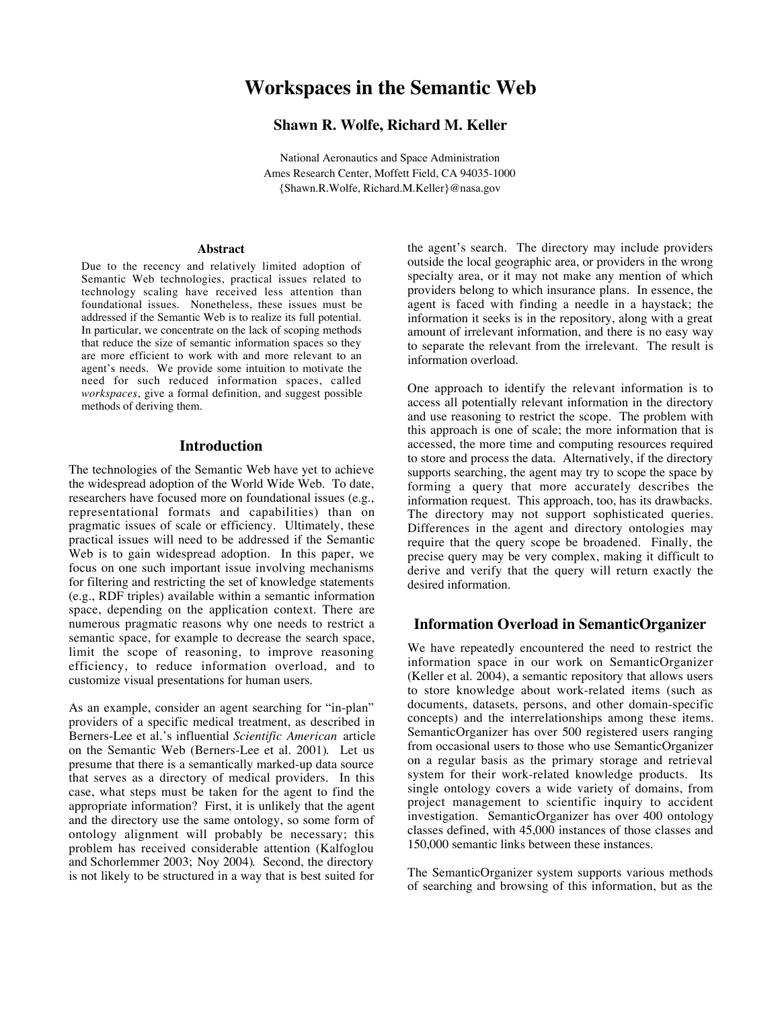# **Workspaces in the Semantic Web**

## **Shawn R. Wolfe, Richard M. Keller**

National Aeronautics and Space Administration Ames Research Center, Moffett Field, CA 94035-1000 {Shawn.R.Wolfe, Richard.M.Keller}@nasa.gov

#### **Abstract**

Due to the recency and relatively limited adoption of Semantic Web technologies, practical issues related to technology scaling have received less attention than foundational issues. Nonetheless, these issues must be addressed if the Semantic Web is to realize its full potential. In particular, we concentrate on the lack of scoping methods that reduce the size of semantic information spaces so they are more efficient to work with and more relevant to an agent's needs. We provide some intuition to motivate the need for such reduced information spaces, called *workspaces*, give a formal definition, and suggest possible methods of deriving them.

#### **Introduction**

The technologies of the Semantic Web have yet to achieve the widespread adoption of the World Wide Web. To date, researchers have focused more on foundational issues (e.g., representational formats and capabilities) than on pragmatic issues of scale or efficiency. Ultimately, these practical issues will need to be addressed if the Semantic Web is to gain widespread adoption. In this paper, we focus on one such important issue involving mechanisms for filtering and restricting the set of knowledge statements (e.g., RDF triples) available within a semantic information space, depending on the application context. There are numerous pragmatic reasons why one needs to restrict a semantic space, for example to decrease the search space, limit the scope of reasoning, to improve reasoning efficiency, to reduce information overload, and to customize visual presentations for human users.

As an example, consider an agent searching for "in-plan" providers of a specific medical treatment, as described in Berners-Lee et al.'s influential *Scientific American* article on the Semantic Web (Berners-Lee et al. 2001). Let us presume that there is a semantically marked-up data source that serves as a directory of medical providers. In this case, what steps must be taken for the agent to find the appropriate information? First, it is unlikely that the agent and the directory use the same ontology, so some form of ontology alignment will probably be necessary; this problem has received considerable attention (Kalfoglou and Schorlemmer 2003; Noy 2004). Second, the directory is not likely to be structured in a way that is best suited for

the agent's search. The directory may include providers outside the local geographic area, or providers in the wrong specialty area, or it may not make any mention of which providers belong to which insurance plans. In essence, the agent is faced with finding a needle in a haystack; the information it seeks is in the repository, along with a great amount of irrelevant information, and there is no easy way to separate the relevant from the irrelevant. The result is information overload.

One approach to identify the relevant information is to access all potentially relevant information in the directory and use reasoning to restrict the scope. The problem with this approach is one of scale; the more information that is accessed, the more time and computing resources required to store and process the data. Alternatively, if the directory supports searching, the agent may try to scope the space by forming a query that more accurately describes the information request. This approach, too, has its drawbacks. The directory may not support sophisticated queries. Differences in the agent and directory ontologies may require that the query scope be broadened. Finally, the precise query may be very complex, making it difficult to derive and verify that the query will return exactly the desired information.

#### **Information Overload in SemanticOrganizer**

We have repeatedly encountered the need to restrict the information space in our work on SemanticOrganizer (Keller et al. 2004), a semantic repository that allows users to store knowledge about work-related items (such as documents, datasets, persons, and other domain-specific concepts) and the interrelationships among these items. SemanticOrganizer has over 500 registered users ranging from occasional users to those who use SemanticOrganizer on a regular basis as the primary storage and retrieval system for their work-related knowledge products. Its single ontology covers a wide variety of domains, from project management to scientific inquiry to accident investigation. SemanticOrganizer has over 400 ontology classes defined, with 45,000 instances of those classes and 150,000 semantic links between these instances.

The SemanticOrganizer system supports various methods of searching and browsing of this information, but as the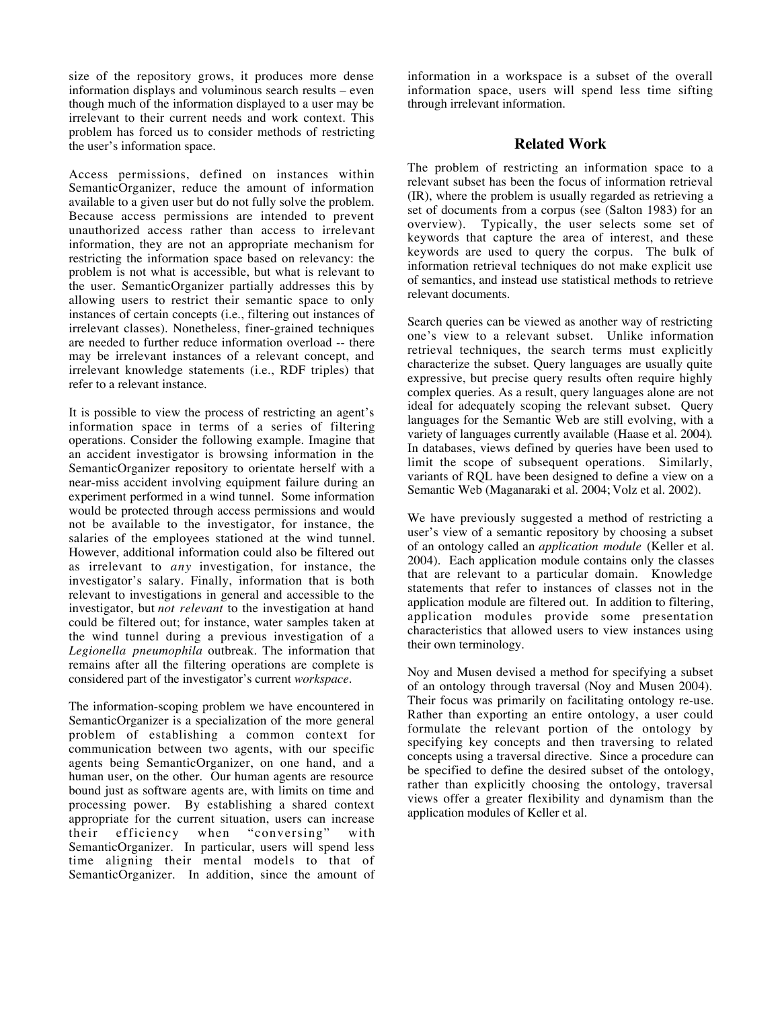size of the repository grows, it produces more dense information displays and voluminous search results – even though much of the information displayed to a user may be irrelevant to their current needs and work context. This problem has forced us to consider methods of restricting the user's information space.

Access permissions, defined on instances within SemanticOrganizer, reduce the amount of information available to a given user but do not fully solve the problem. Because access permissions are intended to prevent unauthorized access rather than access to irrelevant information, they are not an appropriate mechanism for restricting the information space based on relevancy: the problem is not what is accessible, but what is relevant to the user. SemanticOrganizer partially addresses this by allowing users to restrict their semantic space to only instances of certain concepts (i.e., filtering out instances of irrelevant classes). Nonetheless, finer-grained techniques are needed to further reduce information overload -- there may be irrelevant instances of a relevant concept, and irrelevant knowledge statements (i.e., RDF triples) that refer to a relevant instance.

It is possible to view the process of restricting an agent's information space in terms of a series of filtering operations. Consider the following example. Imagine that an accident investigator is browsing information in the SemanticOrganizer repository to orientate herself with a near-miss accident involving equipment failure during an experiment performed in a wind tunnel. Some information would be protected through access permissions and would not be available to the investigator, for instance, the salaries of the employees stationed at the wind tunnel. However, additional information could also be filtered out as irrelevant to *any* investigation, for instance, the investigator's salary. Finally, information that is both relevant to investigations in general and accessible to the investigator, but *not relevant* to the investigation at hand could be filtered out; for instance, water samples taken at the wind tunnel during a previous investigation of a *Legionella pneumophila* outbreak. The information that remains after all the filtering operations are complete is considered part of the investigator's current *workspace*.

The information-scoping problem we have encountered in SemanticOrganizer is a specialization of the more general problem of establishing a common context for communication between two agents, with our specific agents being SemanticOrganizer, on one hand, and a human user, on the other. Our human agents are resource bound just as software agents are, with limits on time and processing power. By establishing a shared context appropriate for the current situation, users can increase their efficiency when "conversing" with SemanticOrganizer. In particular, users will spend less time aligning their mental models to that of SemanticOrganizer. In addition, since the amount of information in a workspace is a subset of the overall information space, users will spend less time sifting through irrelevant information.

## **Related Work**

The problem of restricting an information space to a relevant subset has been the focus of information retrieval (IR), where the problem is usually regarded as retrieving a set of documents from a corpus (see (Salton 1983) for an overview). Typically, the user selects some set of keywords that capture the area of interest, and these keywords are used to query the corpus. The bulk of information retrieval techniques do not make explicit use of semantics, and instead use statistical methods to retrieve relevant documents.

Search queries can be viewed as another way of restricting one's view to a relevant subset. Unlike information retrieval techniques, the search terms must explicitly characterize the subset. Query languages are usually quite expressive, but precise query results often require highly complex queries. As a result, query languages alone are not ideal for adequately scoping the relevant subset. Query languages for the Semantic Web are still evolving, with a variety of languages currently available (Haase et al. 2004). In databases, views defined by queries have been used to limit the scope of subsequent operations. Similarly, variants of RQL have been designed to define a view on a Semantic Web (Maganaraki et al. 2004; Volz et al. 2002).

We have previously suggested a method of restricting a user's view of a semantic repository by choosing a subset of an ontology called an *application module* (Keller et al. 2004). Each application module contains only the classes that are relevant to a particular domain. Knowledge statements that refer to instances of classes not in the application module are filtered out. In addition to filtering, application modules provide some presentation characteristics that allowed users to view instances using their own terminology.

Noy and Musen devised a method for specifying a subset of an ontology through traversal (Noy and Musen 2004). Their focus was primarily on facilitating ontology re-use. Rather than exporting an entire ontology, a user could formulate the relevant portion of the ontology by specifying key concepts and then traversing to related concepts using a traversal directive. Since a procedure can be specified to define the desired subset of the ontology, rather than explicitly choosing the ontology, traversal views offer a greater flexibility and dynamism than the application modules of Keller et al.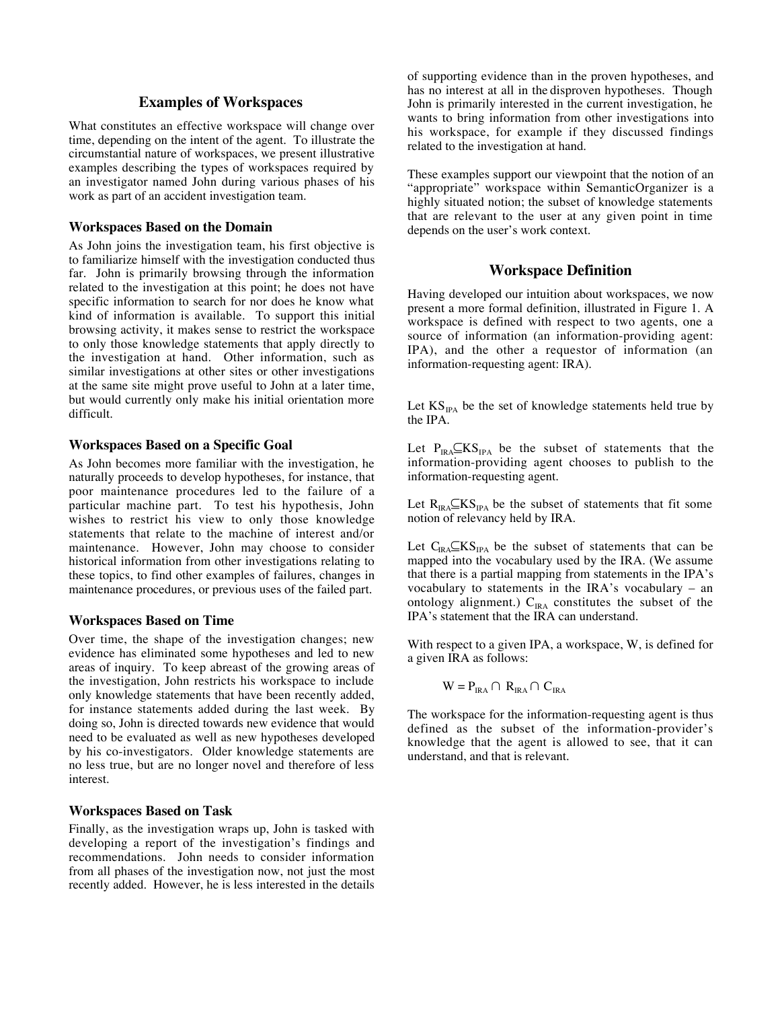#### **Examples of Workspaces**

What constitutes an effective workspace will change over time, depending on the intent of the agent. To illustrate the circumstantial nature of workspaces, we present illustrative examples describing the types of workspaces required by an investigator named John during various phases of his work as part of an accident investigation team.

#### **Workspaces Based on the Domain**

As John joins the investigation team, his first objective is to familiarize himself with the investigation conducted thus far. John is primarily browsing through the information related to the investigation at this point; he does not have specific information to search for nor does he know what kind of information is available. To support this initial browsing activity, it makes sense to restrict the workspace to only those knowledge statements that apply directly to the investigation at hand. Other information, such as similar investigations at other sites or other investigations at the same site might prove useful to John at a later time, but would currently only make his initial orientation more difficult.

#### **Workspaces Based on a Specific Goal**

As John becomes more familiar with the investigation, he naturally proceeds to develop hypotheses, for instance, that poor maintenance procedures led to the failure of a particular machine part. To test his hypothesis, John wishes to restrict his view to only those knowledge statements that relate to the machine of interest and/or maintenance. However, John may choose to consider historical information from other investigations relating to these topics, to find other examples of failures, changes in maintenance procedures, or previous uses of the failed part.

#### **Workspaces Based on Time**

Over time, the shape of the investigation changes; new evidence has eliminated some hypotheses and led to new areas of inquiry. To keep abreast of the growing areas of the investigation, John restricts his workspace to include only knowledge statements that have been recently added, for instance statements added during the last week. By doing so, John is directed towards new evidence that would need to be evaluated as well as new hypotheses developed by his co-investigators. Older knowledge statements are no less true, but are no longer novel and therefore of less interest.

#### **Workspaces Based on Task**

Finally, as the investigation wraps up, John is tasked with developing a report of the investigation's findings and recommendations. John needs to consider information from all phases of the investigation now, not just the most recently added. However, he is less interested in the details

of supporting evidence than in the proven hypotheses, and has no interest at all in the disproven hypotheses. Though John is primarily interested in the current investigation, he wants to bring information from other investigations into his workspace, for example if they discussed findings related to the investigation at hand.

These examples support our viewpoint that the notion of an "appropriate" workspace within SemanticOrganizer is a highly situated notion; the subset of knowledge statements that are relevant to the user at any given point in time depends on the user's work context.

#### **Workspace Definition**

Having developed our intuition about workspaces, we now present a more formal definition, illustrated in Figure 1. A workspace is defined with respect to two agents, one a source of information (an information-providing agent: IPA), and the other a requestor of information (an information-requesting agent: IRA).

Let  $KS_{IPA}$  be the set of knowledge statements held true by the IPA.

Let  $P_{IRA} \subseteq KS_{IPA}$  be the subset of statements that the information-providing agent chooses to publish to the information-requesting agent.

Let  $R_{IRA} \subseteq KS_{IPA}$  be the subset of statements that fit some notion of relevancy held by IRA.

Let  $C_{IRA} \subseteq KS_{IPA}$  be the subset of statements that can be mapped into the vocabulary used by the IRA. (We assume that there is a partial mapping from statements in the IPA's vocabulary to statements in the IRA's vocabulary – an ontology alignment.)  $C_{IRA}$  constitutes the subset of the IPA's statement that the IRA can understand.

With respect to a given IPA, a workspace, W, is defined for a given IRA as follows:

$$
W = P_{IRA} \cap R_{IRA} \cap C_{IRA}
$$

The workspace for the information-requesting agent is thus defined as the subset of the information-provider's knowledge that the agent is allowed to see, that it can understand, and that is relevant.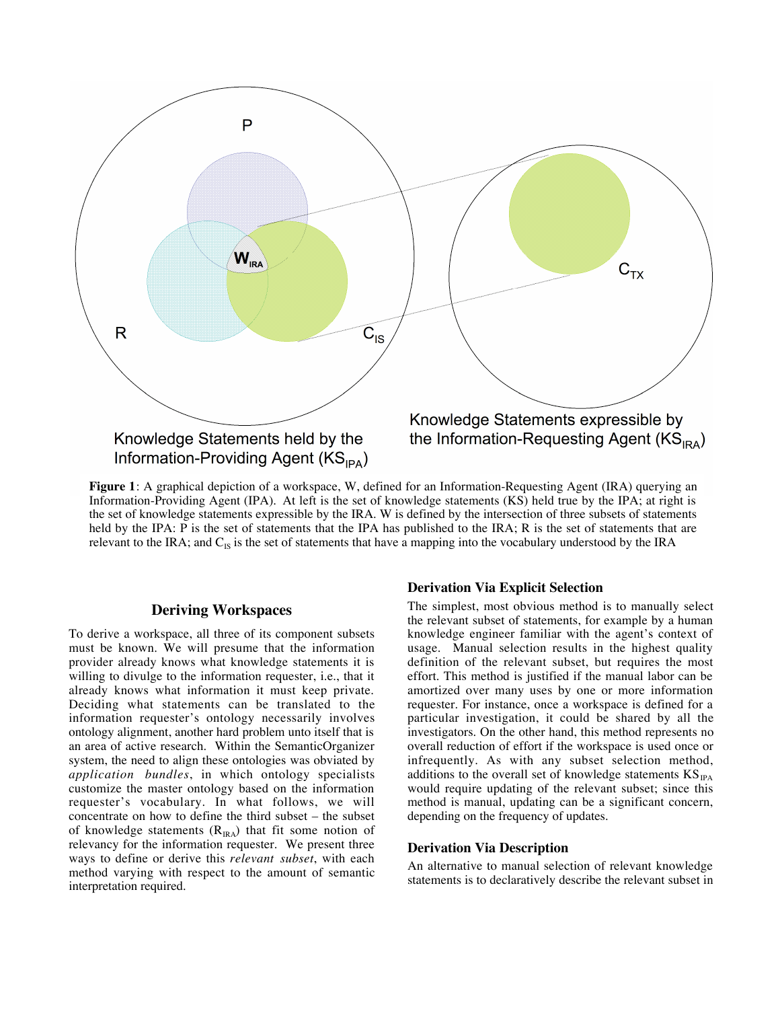

**Figure 1**: A graphical depiction of a workspace, W, defined for an Information-Requesting Agent (IRA) querying an Information-Providing Agent (IPA). At left is the set of knowledge statements (KS) held true by the IPA; at right is the set of knowledge statements expressible by the IRA. W is defined by the intersection of three subsets of statements held by the IPA: P is the set of statements that the IPA has published to the IRA; R is the set of statements that are relevant to the IRA; and  $C_{IS}$  is the set of statements that have a mapping into the vocabulary understood by the IRA

#### **Deriving Workspaces**

To derive a workspace, all three of its component subsets must be known. We will presume that the information provider already knows what knowledge statements it is willing to divulge to the information requester, i.e., that it already knows what information it must keep private. Deciding what statements can be translated to the information requester's ontology necessarily involves ontology alignment, another hard problem unto itself that is an area of active research. Within the SemanticOrganizer system, the need to align these ontologies was obviated by *application bundles*, in which ontology specialists customize the master ontology based on the information requester's vocabulary. In what follows, we will concentrate on how to define the third subset – the subset of knowledge statements  $(R_{IRA})$  that fit some notion of relevancy for the information requester. We present three ways to define or derive this *relevant subset*, with each method varying with respect to the amount of semantic interpretation required.

### **Derivation Via Explicit Selection**

The simplest, most obvious method is to manually select the relevant subset of statements, for example by a human knowledge engineer familiar with the agent's context of usage. Manual selection results in the highest quality definition of the relevant subset, but requires the most effort. This method is justified if the manual labor can be amortized over many uses by one or more information requester. For instance, once a workspace is defined for a particular investigation, it could be shared by all the investigators. On the other hand, this method represents no overall reduction of effort if the workspace is used once or infrequently. As with any subset selection method, additions to the overall set of knowledge statements  $KS_{\text{IPA}}$ would require updating of the relevant subset; since this method is manual, updating can be a significant concern, depending on the frequency of updates.

#### **Derivation Via Description**

An alternative to manual selection of relevant knowledge statements is to declaratively describe the relevant subset in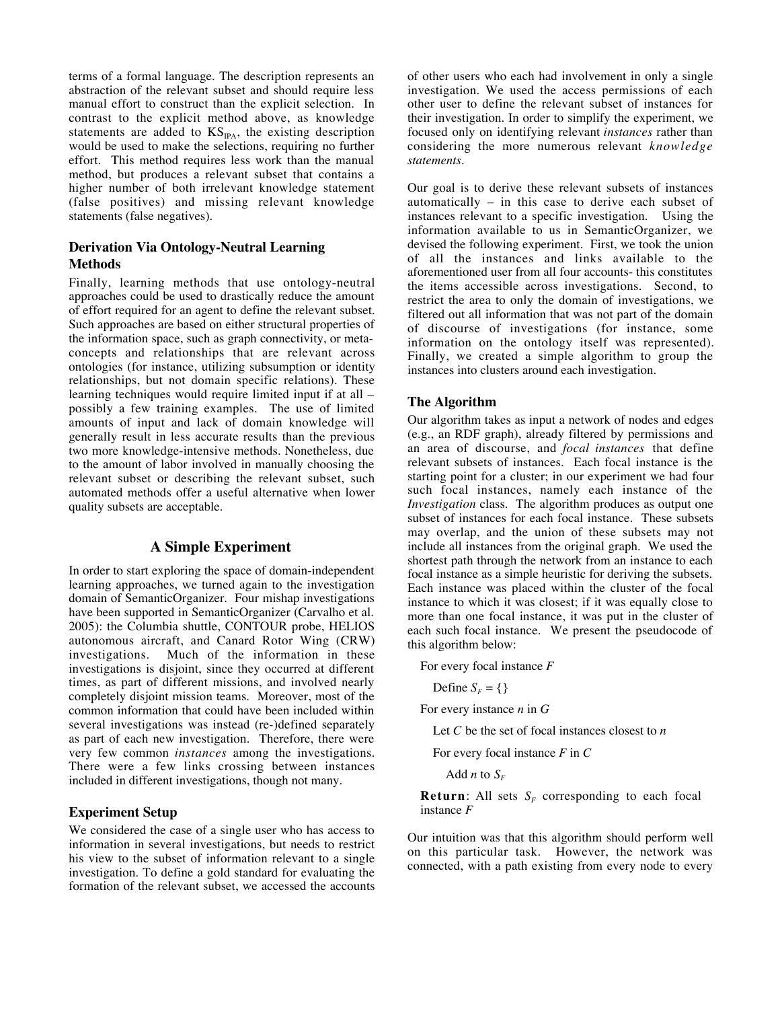terms of a formal language. The description represents an abstraction of the relevant subset and should require less manual effort to construct than the explicit selection. In contrast to the explicit method above, as knowledge statements are added to  $KS_{IPA}$ , the existing description would be used to make the selections, requiring no further effort. This method requires less work than the manual method, but produces a relevant subset that contains a higher number of both irrelevant knowledge statement (false positives) and missing relevant knowledge statements (false negatives).

# **Derivation Via Ontology-Neutral Learning Methods**

Finally, learning methods that use ontology-neutral approaches could be used to drastically reduce the amount of effort required for an agent to define the relevant subset. Such approaches are based on either structural properties of the information space, such as graph connectivity, or metaconcepts and relationships that are relevant across ontologies (for instance, utilizing subsumption or identity relationships, but not domain specific relations). These learning techniques would require limited input if at all – possibly a few training examples. The use of limited amounts of input and lack of domain knowledge will generally result in less accurate results than the previous two more knowledge-intensive methods. Nonetheless, due to the amount of labor involved in manually choosing the relevant subset or describing the relevant subset, such automated methods offer a useful alternative when lower quality subsets are acceptable.

# **A Simple Experiment**

In order to start exploring the space of domain-independent learning approaches, we turned again to the investigation domain of SemanticOrganizer. Four mishap investigations have been supported in SemanticOrganizer (Carvalho et al. 2005): the Columbia shuttle, CONTOUR probe, HELIOS autonomous aircraft, and Canard Rotor Wing (CRW) investigations. Much of the information in these investigations is disjoint, since they occurred at different times, as part of different missions, and involved nearly completely disjoint mission teams. Moreover, most of the common information that could have been included within several investigations was instead (re-)defined separately as part of each new investigation. Therefore, there were very few common *instances* among the investigations. There were a few links crossing between instances included in different investigations, though not many.

## **Experiment Setup**

We considered the case of a single user who has access to information in several investigations, but needs to restrict his view to the subset of information relevant to a single investigation. To define a gold standard for evaluating the formation of the relevant subset, we accessed the accounts

of other users who each had involvement in only a single investigation. We used the access permissions of each other user to define the relevant subset of instances for their investigation. In order to simplify the experiment, we focused only on identifying relevant *instances* rather than considering the more numerous relevant *knowledge statements*.

Our goal is to derive these relevant subsets of instances automatically – in this case to derive each subset of instances relevant to a specific investigation. Using the information available to us in SemanticOrganizer, we devised the following experiment. First, we took the union of all the instances and links available to the aforementioned user from all four accounts- this constitutes the items accessible across investigations. Second, to restrict the area to only the domain of investigations, we filtered out all information that was not part of the domain of discourse of investigations (for instance, some information on the ontology itself was represented). Finally, we created a simple algorithm to group the instances into clusters around each investigation.

## **The Algorithm**

Our algorithm takes as input a network of nodes and edges (e.g., an RDF graph), already filtered by permissions and an area of discourse, and *focal instances* that define relevant subsets of instances. Each focal instance is the starting point for a cluster; in our experiment we had four such focal instances, namely each instance of the *Investigation* class. The algorithm produces as output one subset of instances for each focal instance. These subsets may overlap, and the union of these subsets may not include all instances from the original graph. We used the shortest path through the network from an instance to each focal instance as a simple heuristic for deriving the subsets. Each instance was placed within the cluster of the focal instance to which it was closest; if it was equally close to more than one focal instance, it was put in the cluster of each such focal instance. We present the pseudocode of this algorithm below:

For every focal instance *F*

Define  $S_F = \{\}$ 

For every instance *n* in *G*

Let *C* be the set of focal instances closest to *n* 

For every focal instance *F* in *C*

Add *n* to  $S_F$ 

**Return**: All sets  $S_F$  corresponding to each focal instance *F*

Our intuition was that this algorithm should perform well on this particular task. However, the network was connected, with a path existing from every node to every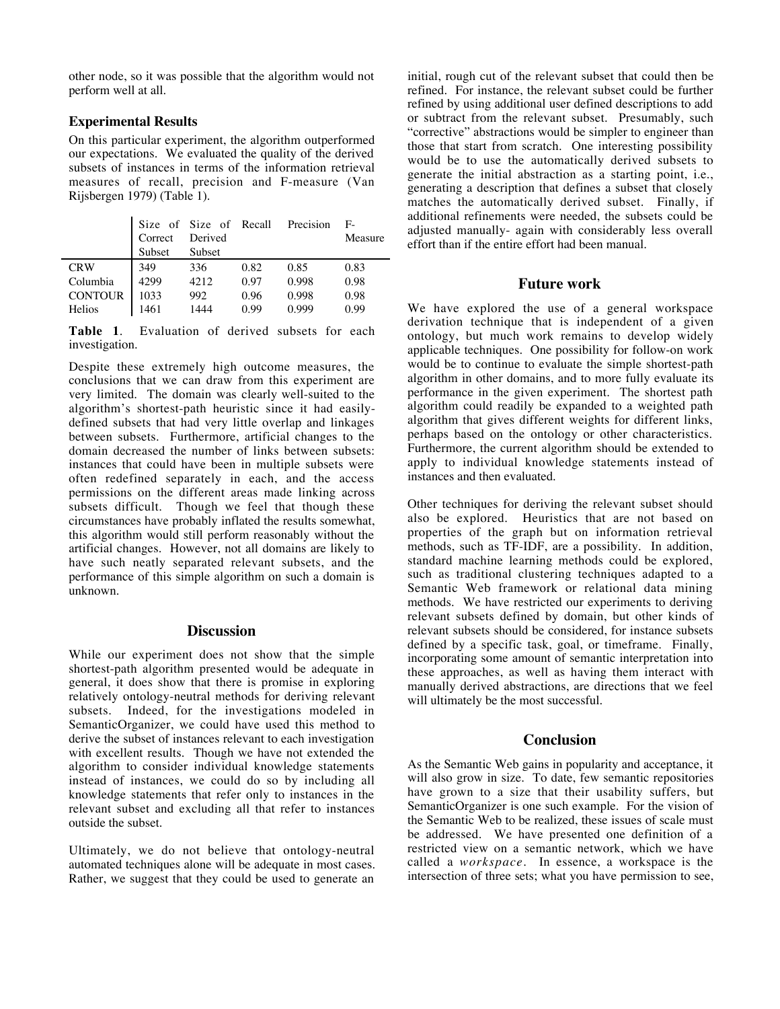other node, so it was possible that the algorithm would not perform well at all.

#### **Experimental Results**

On this particular experiment, the algorithm outperformed our expectations. We evaluated the quality of the derived subsets of instances in terms of the information retrieval measures of recall, precision and F-measure (Van Rijsbergen 1979) (Table 1).

|                | Correct | Size of Size of Recall<br>Derived |      | Precision | $F-$<br>Measure |
|----------------|---------|-----------------------------------|------|-----------|-----------------|
|                | Subset  | Subset                            |      |           |                 |
| <b>CRW</b>     | 349     | 336                               | 0.82 | 0.85      | 0.83            |
| Columbia       | 4299    | 4212                              | 0.97 | 0.998     | 0.98            |
| <b>CONTOUR</b> | 1033    | 992                               | 0.96 | 0.998     | 0.98            |
| Helios         | 1461    | 1444                              | 0.99 | 0.999     | 0.99            |

**Table 1**. Evaluation of derived subsets for each investigation.

Despite these extremely high outcome measures, the conclusions that we can draw from this experiment are very limited. The domain was clearly well-suited to the algorithm's shortest-path heuristic since it had easilydefined subsets that had very little overlap and linkages between subsets. Furthermore, artificial changes to the domain decreased the number of links between subsets: instances that could have been in multiple subsets were often redefined separately in each, and the access permissions on the different areas made linking across subsets difficult. Though we feel that though these circumstances have probably inflated the results somewhat, this algorithm would still perform reasonably without the artificial changes. However, not all domains are likely to have such neatly separated relevant subsets, and the performance of this simple algorithm on such a domain is unknown.

## **Discussion**

While our experiment does not show that the simple shortest-path algorithm presented would be adequate in general, it does show that there is promise in exploring relatively ontology-neutral methods for deriving relevant subsets. Indeed, for the investigations modeled in SemanticOrganizer, we could have used this method to derive the subset of instances relevant to each investigation with excellent results. Though we have not extended the algorithm to consider individual knowledge statements instead of instances, we could do so by including all knowledge statements that refer only to instances in the relevant subset and excluding all that refer to instances outside the subset.

Ultimately, we do not believe that ontology-neutral automated techniques alone will be adequate in most cases. Rather, we suggest that they could be used to generate an

initial, rough cut of the relevant subset that could then be refined. For instance, the relevant subset could be further refined by using additional user defined descriptions to add or subtract from the relevant subset. Presumably, such "corrective" abstractions would be simpler to engineer than those that start from scratch. One interesting possibility would be to use the automatically derived subsets to generate the initial abstraction as a starting point, i.e., generating a description that defines a subset that closely matches the automatically derived subset. Finally, if additional refinements were needed, the subsets could be adjusted manually- again with considerably less overall effort than if the entire effort had been manual.

## **Future work**

We have explored the use of a general workspace derivation technique that is independent of a given ontology, but much work remains to develop widely applicable techniques. One possibility for follow-on work would be to continue to evaluate the simple shortest-path algorithm in other domains, and to more fully evaluate its performance in the given experiment. The shortest path algorithm could readily be expanded to a weighted path algorithm that gives different weights for different links, perhaps based on the ontology or other characteristics. Furthermore, the current algorithm should be extended to apply to individual knowledge statements instead of instances and then evaluated.

Other techniques for deriving the relevant subset should also be explored. Heuristics that are not based on properties of the graph but on information retrieval methods, such as TF-IDF, are a possibility. In addition, standard machine learning methods could be explored, such as traditional clustering techniques adapted to a Semantic Web framework or relational data mining methods. We have restricted our experiments to deriving relevant subsets defined by domain, but other kinds of relevant subsets should be considered, for instance subsets defined by a specific task, goal, or timeframe. Finally, incorporating some amount of semantic interpretation into these approaches, as well as having them interact with manually derived abstractions, are directions that we feel will ultimately be the most successful.

## **Conclusion**

As the Semantic Web gains in popularity and acceptance, it will also grow in size. To date, few semantic repositories have grown to a size that their usability suffers, but SemanticOrganizer is one such example. For the vision of the Semantic Web to be realized, these issues of scale must be addressed. We have presented one definition of a restricted view on a semantic network, which we have called a *workspace*. In essence, a workspace is the intersection of three sets; what you have permission to see,